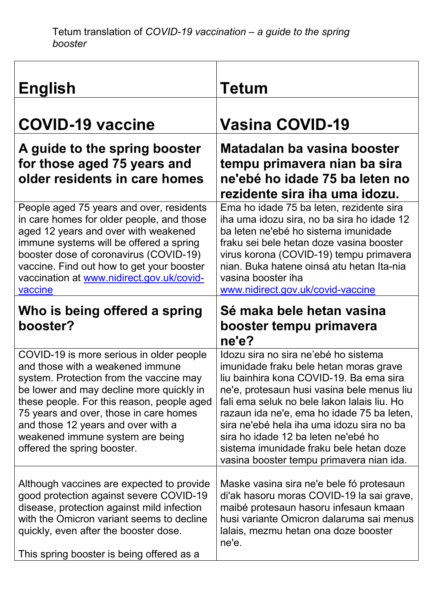| <b>English</b>                                                                                                                                                                                                                                                                                                                                                       | Tetum                                                                                                                                                                                                                                                                                                                                                                                                                                           |
|----------------------------------------------------------------------------------------------------------------------------------------------------------------------------------------------------------------------------------------------------------------------------------------------------------------------------------------------------------------------|-------------------------------------------------------------------------------------------------------------------------------------------------------------------------------------------------------------------------------------------------------------------------------------------------------------------------------------------------------------------------------------------------------------------------------------------------|
| <b>COVID-19 vaccine</b>                                                                                                                                                                                                                                                                                                                                              | <b>Vasina COVID-19</b>                                                                                                                                                                                                                                                                                                                                                                                                                          |
| A guide to the spring booster<br>for those aged 75 years and<br>older residents in care homes                                                                                                                                                                                                                                                                        | Matadalan ba vasina booster<br>tempu primavera nian ba sira<br>ne'ebé ho idade 75 ba leten no<br>rezidente sira iha uma idozu.                                                                                                                                                                                                                                                                                                                  |
| People aged 75 years and over, residents<br>in care homes for older people, and those<br>aged 12 years and over with weakened<br>immune systems will be offered a spring<br>booster dose of coronavirus (COVID-19)<br>vaccine. Find out how to get your booster<br>vaccination at www.nidirect.gov.uk/covid-<br>vaccine                                              | Ema ho idade 75 ba leten, rezidente sira<br>iha uma idozu sira, no ba sira ho idade 12<br>ba leten ne'ebé ho sistema imunidade<br>fraku sei bele hetan doze vasina booster<br>virus korona (COVID-19) tempu primavera<br>nian. Buka hatene oinsá atu hetan Ita-nia<br>vasina booster iha<br>www.nidirect.gov.uk/covid-vaccine                                                                                                                   |
| Who is being offered a spring<br>booster?                                                                                                                                                                                                                                                                                                                            | Sé maka bele hetan vasina<br>booster tempu primavera<br>ne'e?                                                                                                                                                                                                                                                                                                                                                                                   |
| COVID-19 is more serious in older people<br>and those with a weakened immune<br>system. Protection from the vaccine may<br>be lower and may decline more quickly in<br>these people. For this reason, people aged<br>75 years and over, those in care homes<br>and those 12 years and over with a<br>weakened immune system are being<br>offered the spring booster. | Idozu sira no sira ne'ebé ho sistema<br>imunidade fraku bele hetan moras grave<br>liu bainhira kona COVID-19. Ba ema sira<br>ne'e, protesaun husi vasina bele menus liu<br>fali ema seluk no bele lakon lalais liu. Ho<br>razaun ida ne'e, ema ho idade 75 ba leten,<br>sira ne'ebé hela iha uma idozu sira no ba<br>sira ho idade 12 ba leten ne'ebé ho<br>sistema imunidade fraku bele hetan doze<br>vasina booster tempu primavera nian ida. |
| Although vaccines are expected to provide<br>good protection against severe COVID-19<br>disease, protection against mild infection<br>with the Omicron variant seems to decline<br>quickly, even after the booster dose.<br>This spring booster is being offered as a                                                                                                | Maske vasina sira ne'e bele fó protesaun<br>di'ak hasoru moras COVID-19 la sai grave,<br>maibé protesaun hasoru infesaun kmaan<br>husi variante Omicron dalaruma sai menus<br>lalais, mezmu hetan ona doze booster<br>ne'e.                                                                                                                                                                                                                     |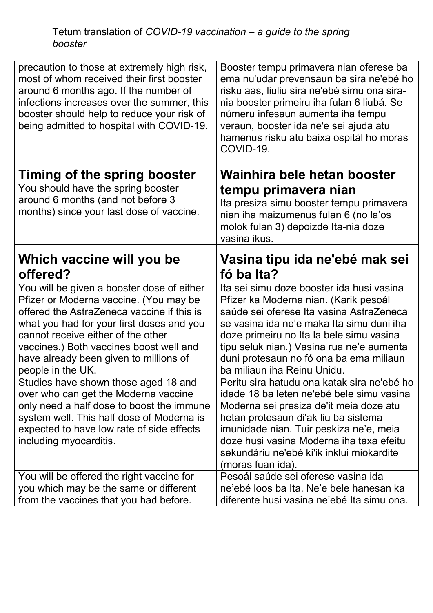| precaution to those at extremely high risk,<br>most of whom received their first booster<br>around 6 months ago. If the number of<br>infections increases over the summer, this<br>booster should help to reduce your risk of<br>being admitted to hospital with COVID-19.                                                                                                                                                                                                                                                                                                       | Booster tempu primavera nian oferese ba<br>ema nu'udar prevensaun ba sira ne'ebé ho<br>risku aas, liuliu sira ne'ebé simu ona sira-<br>nia booster primeiru iha fulan 6 liubá. Se<br>númeru infesaun aumenta iha tempu<br>veraun, booster ida ne'e sei ajuda atu<br>hamenus risku atu baixa ospitál ho moras<br>COVID-19.                                                                                                                                                                                                                                                                                                                                                              |
|----------------------------------------------------------------------------------------------------------------------------------------------------------------------------------------------------------------------------------------------------------------------------------------------------------------------------------------------------------------------------------------------------------------------------------------------------------------------------------------------------------------------------------------------------------------------------------|----------------------------------------------------------------------------------------------------------------------------------------------------------------------------------------------------------------------------------------------------------------------------------------------------------------------------------------------------------------------------------------------------------------------------------------------------------------------------------------------------------------------------------------------------------------------------------------------------------------------------------------------------------------------------------------|
| Timing of the spring booster<br>You should have the spring booster<br>around 6 months (and not before 3<br>months) since your last dose of vaccine.                                                                                                                                                                                                                                                                                                                                                                                                                              | Wainhira bele hetan booster<br>tempu primavera nian<br>Ita presiza simu booster tempu primavera<br>nian iha maizumenus fulan 6 (no la'os<br>molok fulan 3) depoizde Ita-nia doze<br>vasina ikus.                                                                                                                                                                                                                                                                                                                                                                                                                                                                                       |
| Which vaccine will you be<br>offered?                                                                                                                                                                                                                                                                                                                                                                                                                                                                                                                                            | Vasina tipu ida ne'ebé mak sei<br>fó ba Ita?                                                                                                                                                                                                                                                                                                                                                                                                                                                                                                                                                                                                                                           |
| You will be given a booster dose of either<br>Pfizer or Moderna vaccine. (You may be<br>offered the AstraZeneca vaccine if this is<br>what you had for your first doses and you<br>cannot receive either of the other<br>vaccines.) Both vaccines boost well and<br>have already been given to millions of<br>people in the UK.<br>Studies have shown those aged 18 and<br>over who can get the Moderna vaccine<br>only need a half dose to boost the immune<br>system well. This half dose of Moderna is<br>expected to have low rate of side effects<br>including myocarditis. | Ita sei simu doze booster ida husi vasina<br>Pfizer ka Moderna nian. (Karik pesoál<br>saúde sei oferese Ita vasina AstraZeneca<br>se vasina ida ne'e maka Ita simu duni iha<br>doze primeiru no Ita la bele simu vasina<br>tipu seluk nian.) Vasina rua ne'e aumenta<br>duni protesaun no fó ona ba ema miliaun<br>ba miliaun iha Reinu Unidu.<br>Peritu sira hatudu ona katak sira ne'ebé ho<br>idade 18 ba leten ne'ebé bele simu vasina<br>Moderna sei presiza de'it meia doze atu<br>hetan protesaun di'ak liu ba sistema<br>imunidade nian. Tuir peskiza ne'e, meia<br>doze husi vasina Moderna iha taxa efeitu<br>sekundáriu ne'ebé ki'ik inklui miokardite<br>(moras fuan ida). |
| You will be offered the right vaccine for<br>you which may be the same or different<br>from the vaccines that you had before.                                                                                                                                                                                                                                                                                                                                                                                                                                                    | Pesoál saúde sei oferese vasina ida<br>ne'ebé loos ba Ita. Ne'e bele hanesan ka<br>diferente husi vasina ne'ebé Ita simu ona.                                                                                                                                                                                                                                                                                                                                                                                                                                                                                                                                                          |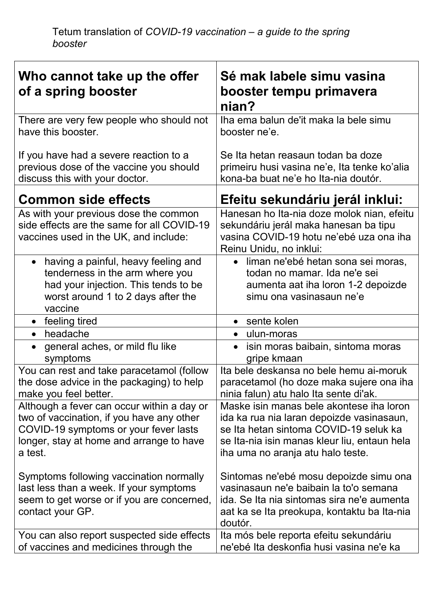| Who cannot take up the offer<br>of a spring booster                                                                                                                                     | Sé mak labele simu vasina<br>booster tempu primavera<br>nian?                                                                                                                                                        |
|-----------------------------------------------------------------------------------------------------------------------------------------------------------------------------------------|----------------------------------------------------------------------------------------------------------------------------------------------------------------------------------------------------------------------|
| There are very few people who should not<br>have this booster.                                                                                                                          | Iha ema balun de'it maka la bele simu<br>booster ne'e.                                                                                                                                                               |
| If you have had a severe reaction to a<br>previous dose of the vaccine you should<br>discuss this with your doctor.                                                                     | Se Ita hetan reasaun todan ba doze<br>primeiru husi vasina ne'e, Ita tenke ko'alia<br>kona-ba buat ne'e ho Ita-nia doutór.                                                                                           |
| <b>Common side effects</b>                                                                                                                                                              | Efeitu sekundáriu jerál inklui:                                                                                                                                                                                      |
| As with your previous dose the common<br>side effects are the same for all COVID-19<br>vaccines used in the UK, and include:                                                            | Hanesan ho Ita-nia doze molok nian, efeitu<br>sekundáriu jerál maka hanesan ba tipu<br>vasina COVID-19 hotu ne'ebé uza ona iha<br>Reinu Unidu, no inklui:                                                            |
| having a painful, heavy feeling and<br>$\bullet$<br>tenderness in the arm where you<br>had your injection. This tends to be<br>worst around 1 to 2 days after the<br>vaccine            | liman ne'ebé hetan sona sei moras,<br>$\bullet$<br>todan no mamar. Ida ne'e sei<br>aumenta aat iha loron 1-2 depoizde<br>simu ona vasinasaun ne'e                                                                    |
| feeling tired<br>$\bullet$                                                                                                                                                              | sente kolen                                                                                                                                                                                                          |
| headache<br>$\bullet$                                                                                                                                                                   | ulun-moras                                                                                                                                                                                                           |
| general aches, or mild flu like<br>$\bullet$<br>symptoms                                                                                                                                | isin moras baibain, sintoma moras<br>gripe kmaan                                                                                                                                                                     |
| You can rest and take paracetamol (follow<br>the dose advice in the packaging) to help<br>make you feel better.                                                                         | Ita bele deskansa no bele hemu ai-moruk<br>paracetamol (ho doze maka sujere ona iha<br>ninia falun) atu halo Ita sente di'ak.                                                                                        |
| Although a fever can occur within a day or<br>two of vaccination, if you have any other<br>COVID-19 symptoms or your fever lasts<br>longer, stay at home and arrange to have<br>a test. | Maske isin manas bele akontese iha loron<br>ida ka rua nia laran depoizde vasinasaun,<br>se Ita hetan sintoma COVID-19 seluk ka<br>se Ita-nia isin manas kleur liu, entaun hela<br>iha uma no aranja atu halo teste. |
| Symptoms following vaccination normally<br>last less than a week. If your symptoms<br>seem to get worse or if you are concerned,<br>contact your GP.                                    | Sintomas ne'ebé mosu depoizde simu ona<br>vasinasaun ne'e baibain la to'o semana<br>ida. Se Ita nia sintomas sira ne'e aumenta<br>aat ka se Ita preokupa, kontaktu ba Ita-nia<br>doutór.                             |
| You can also report suspected side effects<br>of vaccines and medicines through the                                                                                                     | Ita mós bele reporta efeitu sekundáriu<br>ne'ebé Ita deskonfia husi vasina ne'e ka                                                                                                                                   |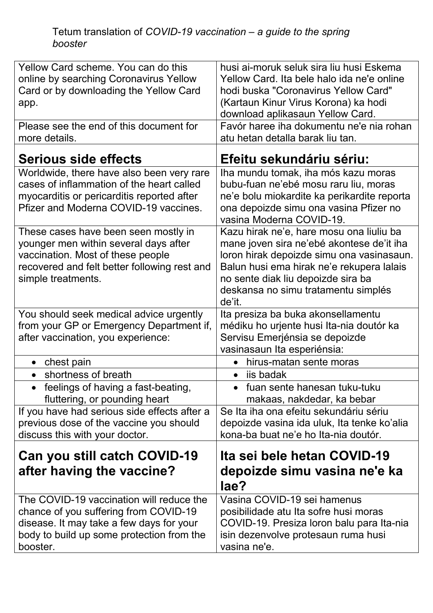Tetum translation of *COVID-19 vaccination – a guide to the spring booster*

| Yellow Card scheme. You can do this<br>online by searching Coronavirus Yellow<br>Card or by downloading the Yellow Card<br>app.                                                          | husi ai-moruk seluk sira liu husi Eskema<br>Yellow Card. Ita bele halo ida ne'e online<br>hodi buska "Coronavirus Yellow Card"<br>(Kartaun Kinur Virus Korona) ka hodi                                                                                                 |
|------------------------------------------------------------------------------------------------------------------------------------------------------------------------------------------|------------------------------------------------------------------------------------------------------------------------------------------------------------------------------------------------------------------------------------------------------------------------|
| Please see the end of this document for<br>more details.                                                                                                                                 | download aplikasaun Yellow Card.<br>Favór haree iha dokumentu ne'e nia rohan<br>atu hetan detalla barak liu tan.                                                                                                                                                       |
| Serious side effects                                                                                                                                                                     | Efeitu sekundáriu sériu:                                                                                                                                                                                                                                               |
| Worldwide, there have also been very rare<br>cases of inflammation of the heart called<br>myocarditis or pericarditis reported after<br>Pfizer and Moderna COVID-19 vaccines.            | Iha mundu tomak, iha mós kazu moras<br>bubu-fuan ne'ebé mosu raru liu, moras<br>ne'e bolu miokardite ka perikardite reporta<br>ona depoizde simu ona vasina Pfizer no<br>vasina Moderna COVID-19.                                                                      |
| These cases have been seen mostly in<br>younger men within several days after<br>vaccination. Most of these people<br>recovered and felt better following rest and<br>simple treatments. | Kazu hirak ne'e, hare mosu ona liuliu ba<br>mane joven sira ne'ebé akontese de'it iha<br>loron hirak depoizde simu ona vasinasaun.<br>Balun husi ema hirak ne'e rekupera lalais<br>no sente diak liu depoizde sira ba<br>deskansa no simu tratamentu simplés<br>de'it. |
| You should seek medical advice urgently<br>from your GP or Emergency Department if,<br>after vaccination, you experience:                                                                | Ita presiza ba buka akonsellamentu<br>médiku ho urjente husi Ita-nia doutór ka<br>Servisu Emerjénsia se depoizde<br>vasinasaun Ita esperiénsia:                                                                                                                        |
| • chest pain                                                                                                                                                                             | hirus-matan sente moras<br>$\bullet$                                                                                                                                                                                                                                   |
| shortness of breath<br>$\bullet$                                                                                                                                                         | iis badak                                                                                                                                                                                                                                                              |
| feelings of having a fast-beating,<br>$\bullet$<br>fluttering, or pounding heart                                                                                                         | fuan sente hanesan tuku-tuku<br>makaas, nakdedar, ka bebar                                                                                                                                                                                                             |
| If you have had serious side effects after a<br>previous dose of the vaccine you should<br>discuss this with your doctor.                                                                | Se Ita iha ona efeitu sekundáriu sériu<br>depoizde vasina ida uluk, Ita tenke ko'alia<br>kona-ba buat ne'e ho Ita-nia doutór.                                                                                                                                          |
| Can you still catch COVID-19<br>after having the vaccine?                                                                                                                                | Ita sei bele hetan COVID-19<br>depoizde simu vasina ne'e ka<br>lae?                                                                                                                                                                                                    |
| The COVID-19 vaccination will reduce the<br>chance of you suffering from COVID-19<br>disease. It may take a few days for your<br>body to build up some protection from the<br>booster.   | Vasina COVID-19 sei hamenus<br>posibilidade atu Ita sofre husi moras<br>COVID-19. Presiza loron balu para Ita-nia<br>isin dezenvolve protesaun ruma husi<br>vasina ne'e.                                                                                               |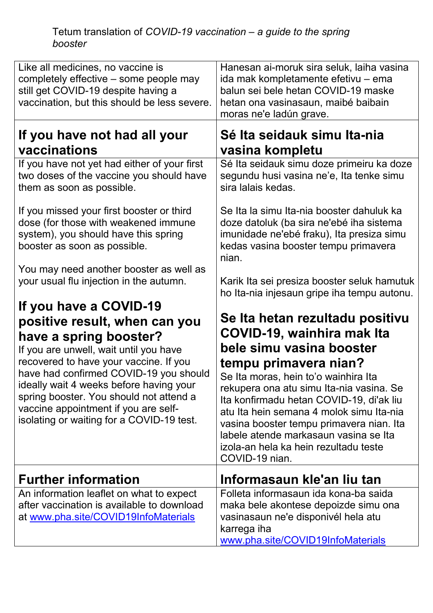## Tetum translation of *COVID-19 vaccination – a guide to the spring booster*

| Like all medicines, no vaccine is<br>completely effective – some people may<br>still get COVID-19 despite having a<br>vaccination, but this should be less severe.                                                                                                                                    | Hanesan ai-moruk sira seluk, laiha vasina<br>ida mak kompletamente efetivu – ema<br>balun sei bele hetan COVID-19 maske<br>hetan ona vasinasaun, maibé baibain<br>moras ne'e ladún grave.                                                                                                                                                                                     |
|-------------------------------------------------------------------------------------------------------------------------------------------------------------------------------------------------------------------------------------------------------------------------------------------------------|-------------------------------------------------------------------------------------------------------------------------------------------------------------------------------------------------------------------------------------------------------------------------------------------------------------------------------------------------------------------------------|
| If you have not had all your<br>vaccinations                                                                                                                                                                                                                                                          | Sé Ita seidauk simu Ita-nia<br>vasina kompletu                                                                                                                                                                                                                                                                                                                                |
| If you have not yet had either of your first<br>two doses of the vaccine you should have<br>them as soon as possible.                                                                                                                                                                                 | Sé Ita seidauk simu doze primeiru ka doze<br>segundu husi vasina ne'e, Ita tenke simu<br>sira lalais kedas.                                                                                                                                                                                                                                                                   |
| If you missed your first booster or third<br>dose (for those with weakened immune<br>system), you should have this spring<br>booster as soon as possible.                                                                                                                                             | Se Ita la simu Ita-nia booster dahuluk ka<br>doze datoluk (ba sira ne'ebé iha sistema<br>imunidade ne'ebé fraku), Ita presiza simu<br>kedas vasina booster tempu primavera<br>nian.                                                                                                                                                                                           |
| You may need another booster as well as<br>your usual flu injection in the autumn.                                                                                                                                                                                                                    | Karik Ita sei presiza booster seluk hamutuk<br>ho Ita-nia injesaun gripe iha tempu autonu.                                                                                                                                                                                                                                                                                    |
| If you have a COVID-19<br>positive result, when can you<br>have a spring booster?                                                                                                                                                                                                                     | Se Ita hetan rezultadu positivu<br>COVID-19, wainhira mak Ita                                                                                                                                                                                                                                                                                                                 |
| If you are unwell, wait until you have<br>recovered to have your vaccine. If you<br>have had confirmed COVID-19 you should<br>ideally wait 4 weeks before having your<br>spring booster. You should not attend a<br>vaccine appointment if you are self-<br>isolating or waiting for a COVID-19 test. | bele simu vasina booster<br>tempu primavera nian?<br>Se Ita moras, hein to'o wainhira Ita<br>rekupera ona atu simu Ita-nia vasina. Se<br>Ita konfirmadu hetan COVID-19, di'ak liu<br>atu Ita hein semana 4 molok simu Ita-nia<br>vasina booster tempu primavera nian. Ita<br>labele atende markasaun vasina se Ita<br>izola-an hela ka hein rezultadu teste<br>COVID-19 nian. |
| <b>Further information</b>                                                                                                                                                                                                                                                                            | Informasaun kle'an liu tan                                                                                                                                                                                                                                                                                                                                                    |
| An information leaflet on what to expect<br>after vaccination is available to download<br>at www.pha.site/COVID19InfoMaterials                                                                                                                                                                        | Folleta informasaun ida kona-ba saida<br>maka bele akontese depoizde simu ona<br>vasinasaun ne'e disponivél hela atu<br>karrega iha<br>www.pha.site/COVID19InfoMaterials                                                                                                                                                                                                      |